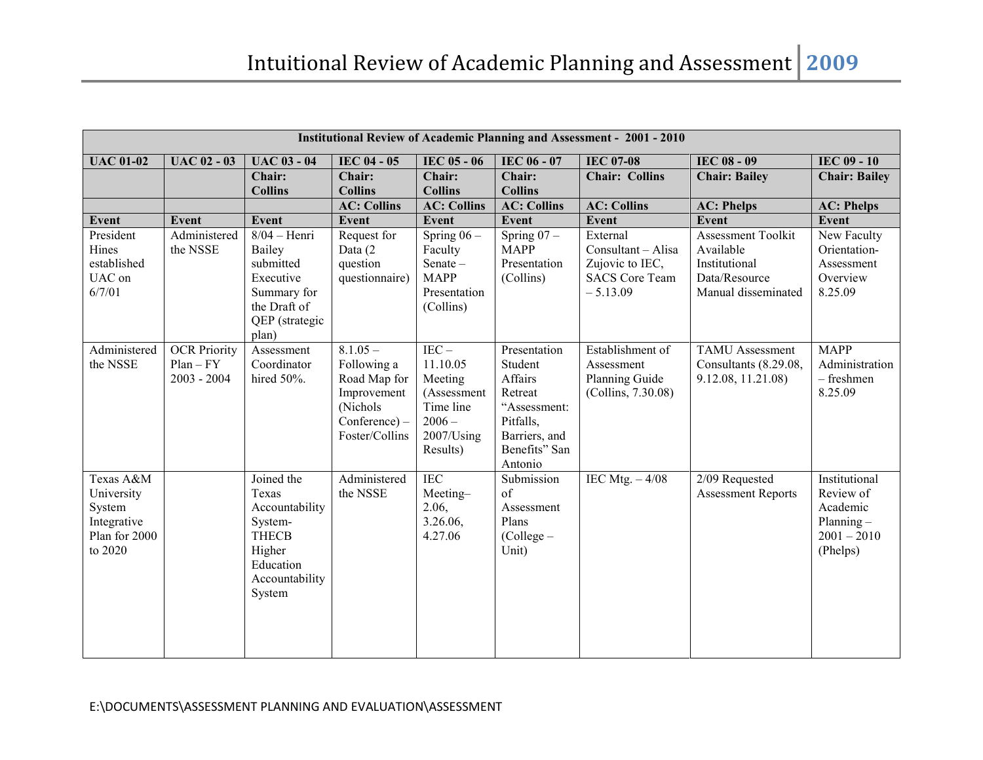|                                                                              | <b>Institutional Review of Academic Planning and Assessment - 2001 - 2010</b> |                                                                                                                     |                                                                                                            |                                                                                                     |                                                                                                                         |                                                                                          |                                                                                                 |                                                                                     |  |
|------------------------------------------------------------------------------|-------------------------------------------------------------------------------|---------------------------------------------------------------------------------------------------------------------|------------------------------------------------------------------------------------------------------------|-----------------------------------------------------------------------------------------------------|-------------------------------------------------------------------------------------------------------------------------|------------------------------------------------------------------------------------------|-------------------------------------------------------------------------------------------------|-------------------------------------------------------------------------------------|--|
| <b>UAC 01-02</b>                                                             | <b>UAC 02 - 03</b>                                                            | <b>UAC 03 - 04</b>                                                                                                  | IEC 04 - 05                                                                                                | IEC 05 - 06                                                                                         | <b>IEC 06 - 07</b>                                                                                                      | <b>IEC 07-08</b>                                                                         | IEC 08 - 09                                                                                     | <b>IEC 09 - 10</b>                                                                  |  |
|                                                                              |                                                                               | Chair:<br><b>Collins</b>                                                                                            | Chair:<br><b>Collins</b><br><b>AC: Collins</b>                                                             | Chair:<br><b>Collins</b><br><b>AC: Collins</b>                                                      | Chair:<br><b>Collins</b><br><b>AC: Collins</b>                                                                          | <b>Chair: Collins</b><br><b>AC: Collins</b>                                              | <b>Chair: Bailey</b><br><b>AC: Phelps</b>                                                       | <b>Chair: Bailey</b><br><b>AC: Phelps</b>                                           |  |
| Event                                                                        | Event                                                                         | <b>Event</b>                                                                                                        | Event                                                                                                      | Event                                                                                               | <b>Event</b>                                                                                                            | <b>Event</b>                                                                             | Event                                                                                           | Event                                                                               |  |
| President<br>Hines<br>established<br>UAC on<br>6/7/01                        | Administered<br>the NSSE                                                      | $8/04$ – Henri<br>Bailey<br>submitted<br>Executive<br>Summary for<br>the Draft of<br>QEP (strategic<br>plan)        | Request for<br>Data (2<br>question<br>questionnaire)                                                       | Spring $06 -$<br>Faculty<br>Senate-<br><b>MAPP</b><br>Presentation<br>(Collins)                     | $\overline{\text{Spring}}$ 07 –<br><b>MAPP</b><br>Presentation<br>(Collins)                                             | External<br>Consultant - Alisa<br>Zujovic to IEC,<br><b>SACS</b> Core Team<br>$-5.13.09$ | <b>Assessment Toolkit</b><br>Available<br>Institutional<br>Data/Resource<br>Manual disseminated | <b>New Faculty</b><br>Orientation-<br>Assessment<br>Overview<br>8.25.09             |  |
| Administered<br>the NSSE                                                     | <b>OCR Priority</b><br>$Plan-FY$<br>$2003 - 2004$                             | Assessment<br>Coordinator<br>hired 50%.                                                                             | $8.1.05 -$<br>Following a<br>Road Map for<br>Improvement<br>(Nichols)<br>$Conference) -$<br>Foster/Collins | $IEC -$<br>11.10.05<br>Meeting<br>(Assessment<br>Time line<br>$2006 -$<br>$2007$ /Using<br>Results) | Presentation<br>Student<br>Affairs<br>Retreat<br>"Assessment:<br>Pitfalls,<br>Barriers, and<br>Benefits" San<br>Antonio | Establishment of<br>Assessment<br>Planning Guide<br>(Collins, 7.30.08)                   | <b>TAMU</b> Assessment<br>Consultants (8.29.08,<br>9.12.08, 11.21.08)                           | <b>MAPP</b><br>Administration<br>- freshmen<br>8.25.09                              |  |
| Texas A&M<br>University<br>System<br>Integrative<br>Plan for 2000<br>to 2020 |                                                                               | Joined the<br>Texas<br>Accountability<br>System-<br><b>THECB</b><br>Higher<br>Education<br>Accountability<br>System | Administered<br>the NSSE                                                                                   | <b>IEC</b><br>Meeting-<br>2.06,<br>3.26.06,<br>4.27.06                                              | Submission<br>of<br>Assessment<br>Plans<br>(College -<br>Unit)                                                          | IEC Mtg. $-4/08$                                                                         | 2/09 Requested<br><b>Assessment Reports</b>                                                     | Institutional<br>Review of<br>Academic<br>Planning $-$<br>$2001 - 2010$<br>(Phelps) |  |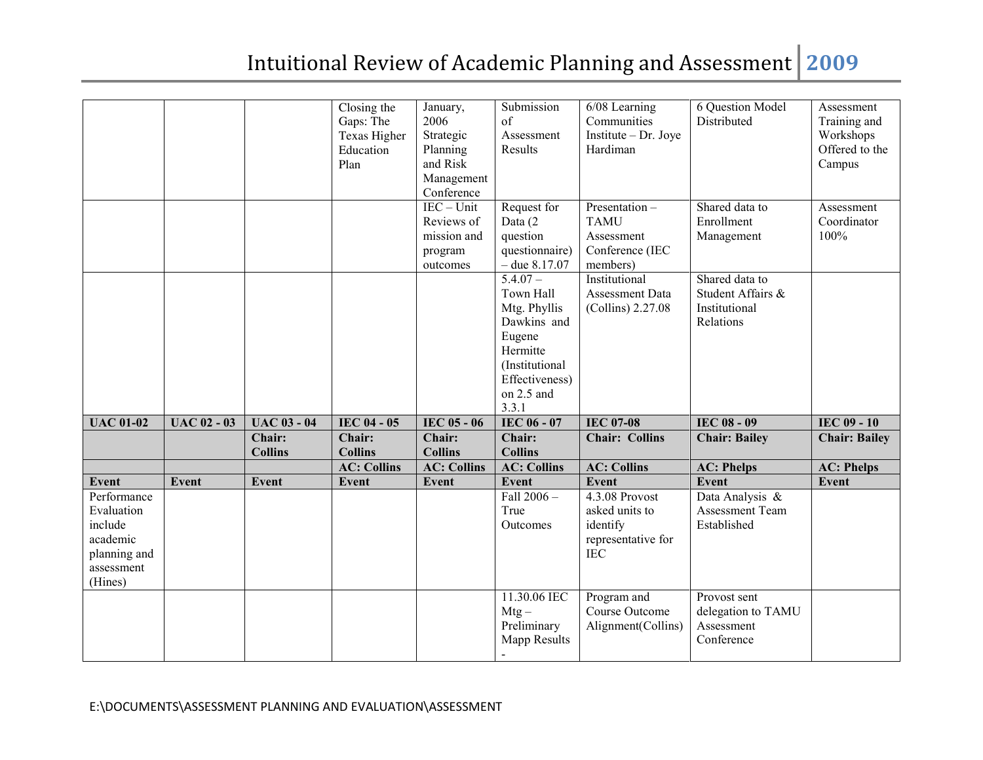|                                                                                           |                    |                              | Closing the<br>Gaps: The<br>Texas Higher<br>Education<br>Plan | January,<br>2006<br>Strategic<br>Planning<br>and Risk<br>Management<br>Conference | Submission<br>of<br>Assessment<br>Results                                                                                               | 6/08 Learning<br>Communities<br>Institute - Dr. Joye<br>Hardiman                 | 6 Question Model<br>Distributed                                   | Assessment<br>Training and<br>Workshops<br>Offered to the<br>Campus |
|-------------------------------------------------------------------------------------------|--------------------|------------------------------|---------------------------------------------------------------|-----------------------------------------------------------------------------------|-----------------------------------------------------------------------------------------------------------------------------------------|----------------------------------------------------------------------------------|-------------------------------------------------------------------|---------------------------------------------------------------------|
|                                                                                           |                    |                              |                                                               | $IEC - Unit$<br>Reviews of<br>mission and<br>program<br>outcomes                  | Request for<br>Data (2<br>question<br>questionnaire)<br>$-$ due $8.17.07$                                                               | Presentation -<br><b>TAMU</b><br>Assessment<br>Conference (IEC<br>members)       | Shared data to<br>Enrollment<br>Management                        | Assessment<br>Coordinator<br>100%                                   |
|                                                                                           |                    |                              |                                                               |                                                                                   | $5.4.07 -$<br>Town Hall<br>Mtg. Phyllis<br>Dawkins and<br>Eugene<br>Hermitte<br>(Institutional<br>Effectiveness)<br>on 2.5 and<br>3.3.1 | Institutional<br>Assessment Data<br>(Collins) 2.27.08                            | Shared data to<br>Student Affairs &<br>Institutional<br>Relations |                                                                     |
| <b>UAC 01-02</b>                                                                          | <b>UAC 02 - 03</b> | <b>UAC 03 - 04</b><br>Chair: | IEC 04 - 05<br>Chair:                                         | IEC 05 - 06<br>Chair:                                                             | IEC 06 - 07<br>Chair:                                                                                                                   | <b>IEC 07-08</b><br><b>Chair: Collins</b>                                        | <b>IEC 08 - 09</b><br><b>Chair: Bailey</b>                        | <b>IEC 09 - 10</b><br><b>Chair: Bailey</b>                          |
|                                                                                           |                    | <b>Collins</b>               | <b>Collins</b><br><b>AC: Collins</b>                          | <b>Collins</b><br><b>AC: Collins</b>                                              | <b>Collins</b><br><b>AC: Collins</b>                                                                                                    | <b>AC: Collins</b>                                                               | <b>AC: Phelps</b>                                                 | <b>AC: Phelps</b>                                                   |
| <b>Event</b>                                                                              | <b>Event</b>       | Event                        | Event                                                         | <b>Event</b>                                                                      | Event                                                                                                                                   | <b>Event</b>                                                                     | <b>Event</b>                                                      | Event                                                               |
| Performance<br>Evaluation<br>include<br>academic<br>planning and<br>assessment<br>(Hines) |                    |                              |                                                               |                                                                                   | Fall 2006-<br>True<br>Outcomes                                                                                                          | 4.3.08 Provost<br>asked units to<br>identify<br>representative for<br><b>IEC</b> | Data Analysis &<br>Assessment Team<br>Established                 |                                                                     |
|                                                                                           |                    |                              |                                                               |                                                                                   | 11.30.06 IEC<br>$Mtg -$<br>Preliminary<br><b>Mapp Results</b>                                                                           | Program and<br>Course Outcome<br>Alignment(Collins)                              | Provost sent<br>delegation to TAMU<br>Assessment<br>Conference    |                                                                     |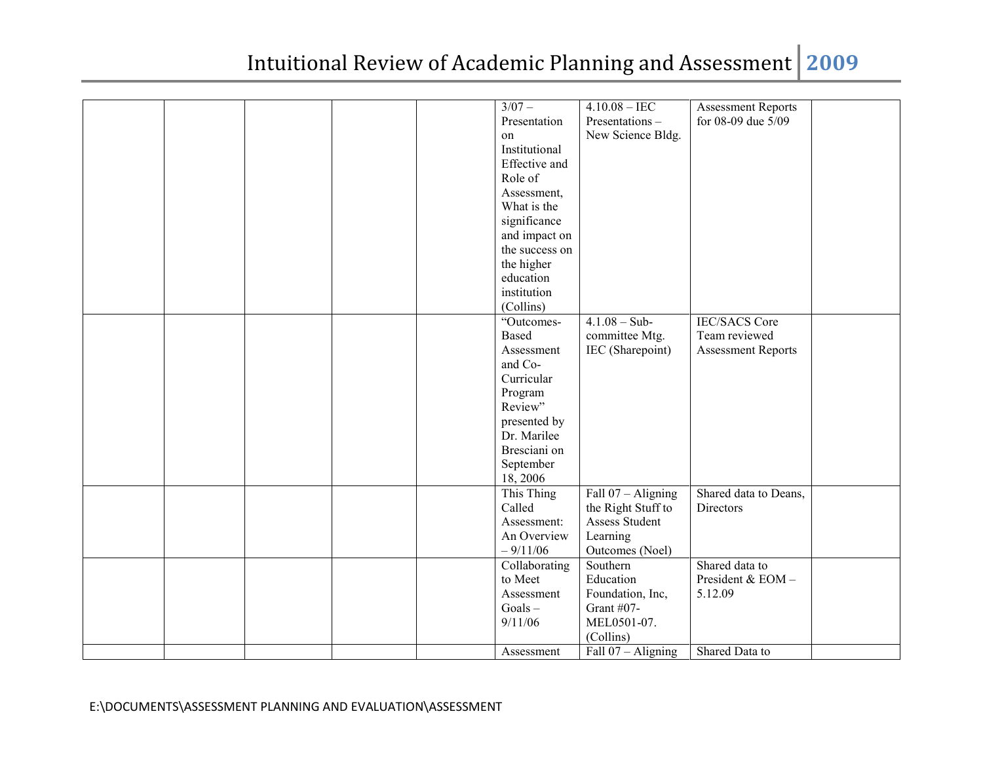| Presentation<br>for 08-09 due 5/09<br>Presentations-<br>New Science Bldg.<br>on<br>Institutional<br>Effective and<br>Role of<br>Assessment,<br>What is the<br>significance<br>and impact on<br>the success on |  |          |                 |                           |  |
|---------------------------------------------------------------------------------------------------------------------------------------------------------------------------------------------------------------|--|----------|-----------------|---------------------------|--|
|                                                                                                                                                                                                               |  | $3/07 -$ | $4.10.08 - IEC$ | <b>Assessment Reports</b> |  |
|                                                                                                                                                                                                               |  |          |                 |                           |  |
|                                                                                                                                                                                                               |  |          |                 |                           |  |
|                                                                                                                                                                                                               |  |          |                 |                           |  |
|                                                                                                                                                                                                               |  |          |                 |                           |  |
|                                                                                                                                                                                                               |  |          |                 |                           |  |
|                                                                                                                                                                                                               |  |          |                 |                           |  |
|                                                                                                                                                                                                               |  |          |                 |                           |  |
|                                                                                                                                                                                                               |  |          |                 |                           |  |
|                                                                                                                                                                                                               |  |          |                 |                           |  |
|                                                                                                                                                                                                               |  |          |                 |                           |  |
|                                                                                                                                                                                                               |  |          |                 |                           |  |
| the higher                                                                                                                                                                                                    |  |          |                 |                           |  |
| education                                                                                                                                                                                                     |  |          |                 |                           |  |
| institution                                                                                                                                                                                                   |  |          |                 |                           |  |
| (Collins)                                                                                                                                                                                                     |  |          |                 |                           |  |
| $4.1.08 - Sub-$<br><b>IEC/SACS Core</b><br>"Outcomes-                                                                                                                                                         |  |          |                 |                           |  |
| committee Mtg.<br>Based<br>Team reviewed                                                                                                                                                                      |  |          |                 |                           |  |
| IEC (Sharepoint)<br>Assessment<br><b>Assessment Reports</b>                                                                                                                                                   |  |          |                 |                           |  |
| and Co-                                                                                                                                                                                                       |  |          |                 |                           |  |
| Curricular                                                                                                                                                                                                    |  |          |                 |                           |  |
| Program                                                                                                                                                                                                       |  |          |                 |                           |  |
| Review"                                                                                                                                                                                                       |  |          |                 |                           |  |
| presented by                                                                                                                                                                                                  |  |          |                 |                           |  |
| Dr. Marilee                                                                                                                                                                                                   |  |          |                 |                           |  |
| Bresciani on                                                                                                                                                                                                  |  |          |                 |                           |  |
| September                                                                                                                                                                                                     |  |          |                 |                           |  |
|                                                                                                                                                                                                               |  |          |                 |                           |  |
| 18, 2006                                                                                                                                                                                                      |  |          |                 |                           |  |
| This Thing<br>Fall $07 -$ Aligning<br>Shared data to Deans,                                                                                                                                                   |  |          |                 |                           |  |
| Called<br>the Right Stuff to<br>Directors                                                                                                                                                                     |  |          |                 |                           |  |
| Assess Student<br>Assessment:                                                                                                                                                                                 |  |          |                 |                           |  |
| An Overview<br>Learning                                                                                                                                                                                       |  |          |                 |                           |  |
| Outcomes (Noel)<br>$-9/11/06$                                                                                                                                                                                 |  |          |                 |                           |  |
| Shared data to<br>Collaborating<br>Southern                                                                                                                                                                   |  |          |                 |                           |  |
| to Meet<br>President & EOM-<br>Education                                                                                                                                                                      |  |          |                 |                           |  |
| Assessment<br>Foundation, Inc,<br>5.12.09                                                                                                                                                                     |  |          |                 |                           |  |
| $Goals -$<br>Grant #07-                                                                                                                                                                                       |  |          |                 |                           |  |
| 9/11/06<br>MEL0501-07.                                                                                                                                                                                        |  |          |                 |                           |  |
| (Collins)                                                                                                                                                                                                     |  |          |                 |                           |  |
| Fall $07 -$ Aligning<br>Shared Data to<br>Assessment                                                                                                                                                          |  |          |                 |                           |  |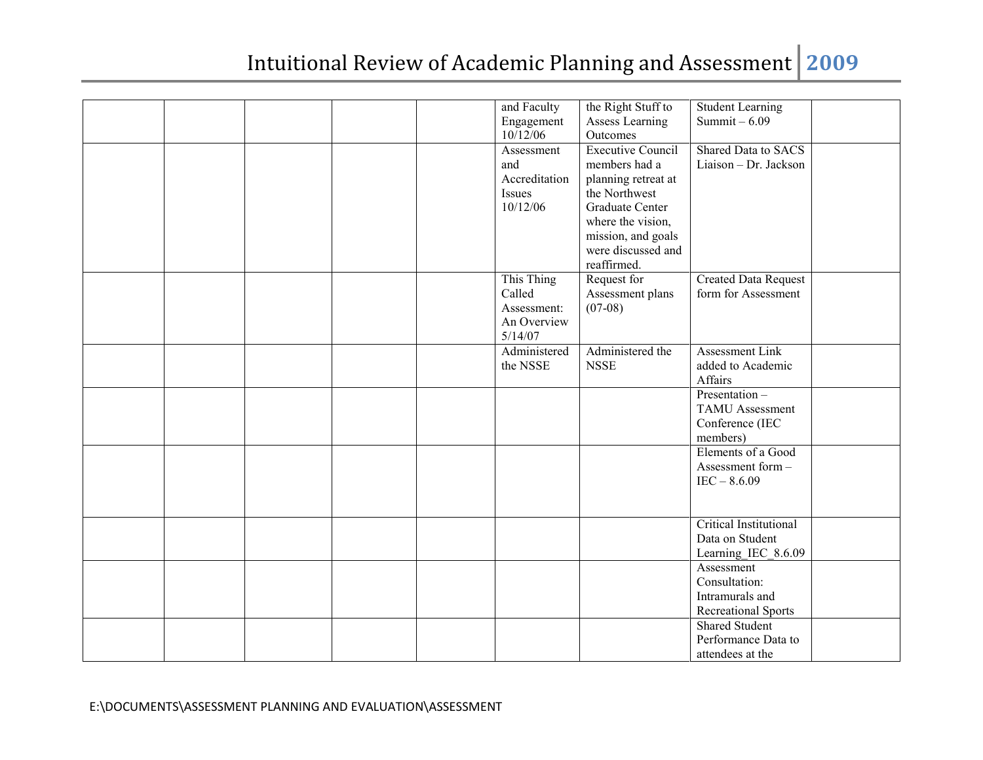|  |  | and Faculty   | the Right Stuff to       | <b>Student Learning</b>     |  |
|--|--|---------------|--------------------------|-----------------------------|--|
|  |  | Engagement    | <b>Assess Learning</b>   | Summit $-6.09$              |  |
|  |  | 10/12/06      | Outcomes                 |                             |  |
|  |  | Assessment    | <b>Executive Council</b> | Shared Data to SACS         |  |
|  |  | and           | members had a            | Liaison - Dr. Jackson       |  |
|  |  | Accreditation | planning retreat at      |                             |  |
|  |  | Issues        | the Northwest            |                             |  |
|  |  | 10/12/06      | <b>Graduate Center</b>   |                             |  |
|  |  |               | where the vision,        |                             |  |
|  |  |               | mission, and goals       |                             |  |
|  |  |               | were discussed and       |                             |  |
|  |  |               | reaffirmed.              |                             |  |
|  |  | This Thing    | Request for              | <b>Created Data Request</b> |  |
|  |  | Called        | Assessment plans         | form for Assessment         |  |
|  |  | Assessment:   | $(07-08)$                |                             |  |
|  |  | An Overview   |                          |                             |  |
|  |  | 5/14/07       |                          |                             |  |
|  |  | Administered  | Administered the         | Assessment Link             |  |
|  |  | the NSSE      | <b>NSSE</b>              | added to Academic           |  |
|  |  |               |                          | Affairs                     |  |
|  |  |               |                          | Presentation-               |  |
|  |  |               |                          | <b>TAMU</b> Assessment      |  |
|  |  |               |                          |                             |  |
|  |  |               |                          | Conference (IEC             |  |
|  |  |               |                          | members)                    |  |
|  |  |               |                          | Elements of a Good          |  |
|  |  |               |                          | Assessment form -           |  |
|  |  |               |                          | $IEC - 8.6.09$              |  |
|  |  |               |                          |                             |  |
|  |  |               |                          |                             |  |
|  |  |               |                          | Critical Institutional      |  |
|  |  |               |                          | Data on Student             |  |
|  |  |               |                          | Learning_IEC_8.6.09         |  |
|  |  |               |                          | Assessment                  |  |
|  |  |               |                          | Consultation:               |  |
|  |  |               |                          | Intramurals and             |  |
|  |  |               |                          | <b>Recreational Sports</b>  |  |
|  |  |               |                          | <b>Shared Student</b>       |  |
|  |  |               |                          | Performance Data to         |  |
|  |  |               |                          | attendees at the            |  |
|  |  |               |                          |                             |  |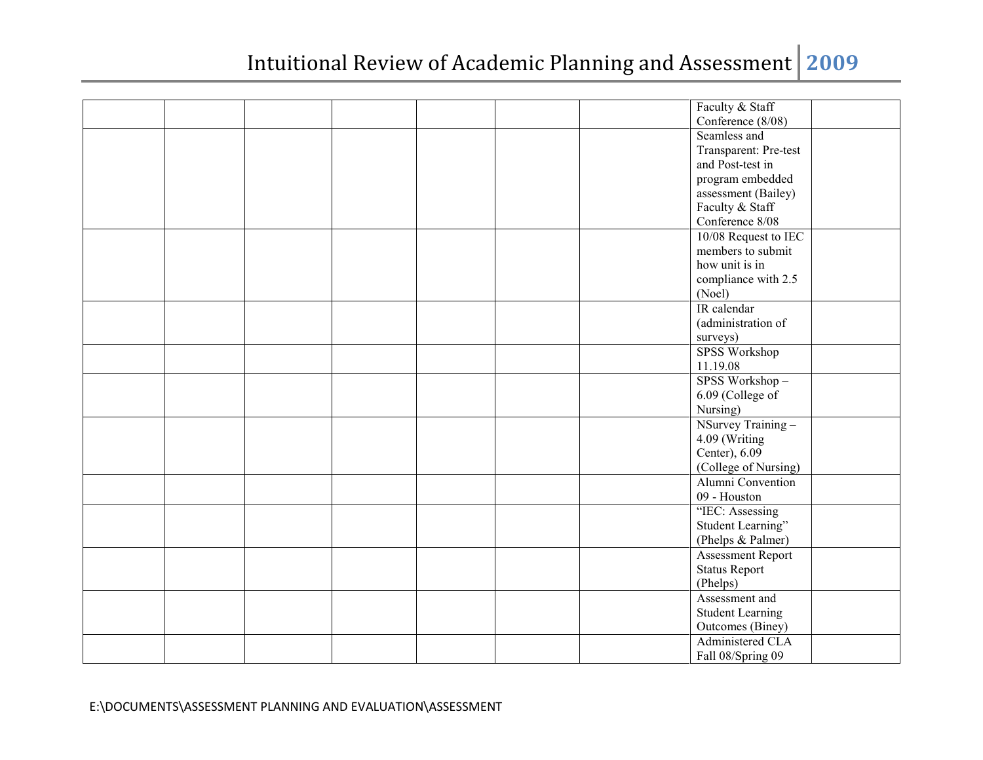|  |  |  | Faculty & Staff          |  |
|--|--|--|--------------------------|--|
|  |  |  | Conference (8/08)        |  |
|  |  |  | Seamless and             |  |
|  |  |  | Transparent: Pre-test    |  |
|  |  |  | and Post-test in         |  |
|  |  |  | program embedded         |  |
|  |  |  | assessment (Bailey)      |  |
|  |  |  | Faculty & Staff          |  |
|  |  |  | Conference 8/08          |  |
|  |  |  | 10/08 Request to IEC     |  |
|  |  |  | members to submit        |  |
|  |  |  | how unit is in           |  |
|  |  |  | compliance with 2.5      |  |
|  |  |  | (Noel)                   |  |
|  |  |  | IR calendar              |  |
|  |  |  | (administration of       |  |
|  |  |  | surveys)                 |  |
|  |  |  | <b>SPSS Workshop</b>     |  |
|  |  |  | 11.19.08                 |  |
|  |  |  | SPSS Workshop-           |  |
|  |  |  | 6.09 (College of         |  |
|  |  |  | Nursing)                 |  |
|  |  |  | NSurvey Training-        |  |
|  |  |  | 4.09 (Writing            |  |
|  |  |  | Center), 6.09            |  |
|  |  |  | (College of Nursing)     |  |
|  |  |  | Alumni Convention        |  |
|  |  |  | 09 - Houston             |  |
|  |  |  | "IEC: Assessing          |  |
|  |  |  | Student Learning"        |  |
|  |  |  | (Phelps & Palmer)        |  |
|  |  |  | <b>Assessment Report</b> |  |
|  |  |  | <b>Status Report</b>     |  |
|  |  |  | (Phelps)                 |  |
|  |  |  | Assessment and           |  |
|  |  |  | <b>Student Learning</b>  |  |
|  |  |  | Outcomes (Biney)         |  |
|  |  |  | Administered CLA         |  |
|  |  |  | Fall 08/Spring 09        |  |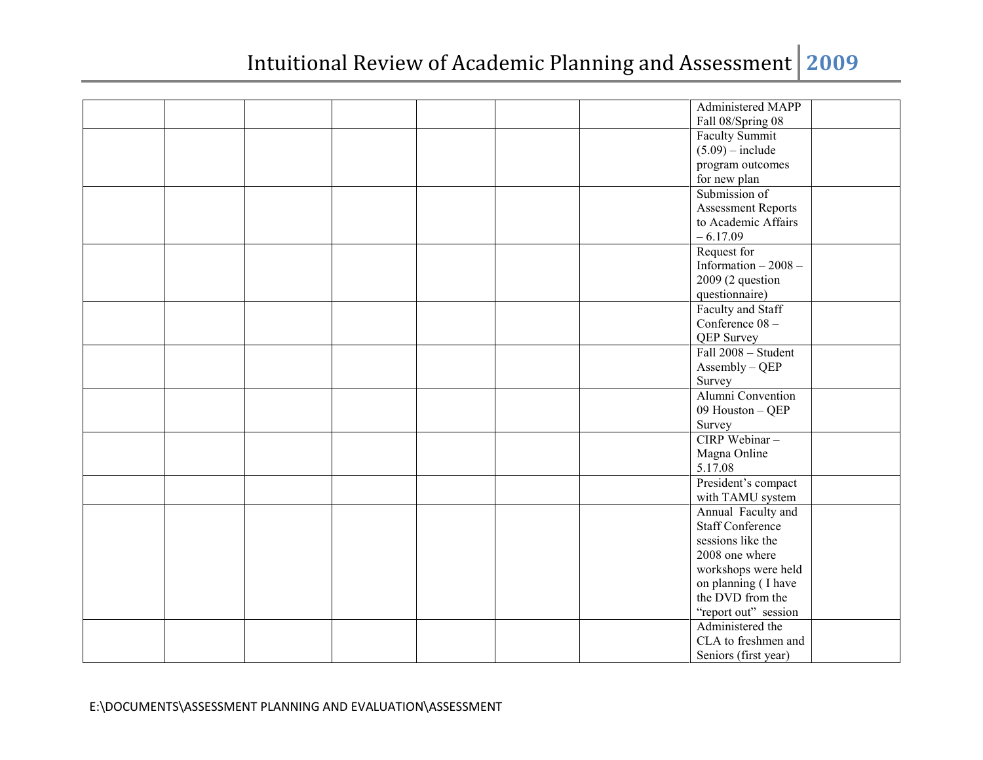|  |  |  | Administered MAPP       |  |
|--|--|--|-------------------------|--|
|  |  |  | Fall 08/Spring 08       |  |
|  |  |  | Faculty Summit          |  |
|  |  |  | $(5.09)$ – include      |  |
|  |  |  | program outcomes        |  |
|  |  |  | for new plan            |  |
|  |  |  | Submission of           |  |
|  |  |  | Assessment Reports      |  |
|  |  |  | to Academic Affairs     |  |
|  |  |  | $-6.17.09$              |  |
|  |  |  | Request for             |  |
|  |  |  | Information - 2008 -    |  |
|  |  |  | 2009 (2 question        |  |
|  |  |  | questionnaire)          |  |
|  |  |  | Faculty and Staff       |  |
|  |  |  | Conference 08-          |  |
|  |  |  | <b>QEP</b> Survey       |  |
|  |  |  | Fall 2008 - Student     |  |
|  |  |  | Assembly - QEP          |  |
|  |  |  | Survey                  |  |
|  |  |  | Alumni Convention       |  |
|  |  |  | 09 Houston - QEP        |  |
|  |  |  | Survey                  |  |
|  |  |  | CIRP Webinar-           |  |
|  |  |  | Magna Online            |  |
|  |  |  | 5.17.08                 |  |
|  |  |  | President's compact     |  |
|  |  |  | with TAMU system        |  |
|  |  |  | Annual Faculty and      |  |
|  |  |  | <b>Staff Conference</b> |  |
|  |  |  | sessions like the       |  |
|  |  |  | 2008 one where          |  |
|  |  |  | workshops were held     |  |
|  |  |  | on planning (I have     |  |
|  |  |  | the DVD from the        |  |
|  |  |  | "report out" session    |  |
|  |  |  | Administered the        |  |
|  |  |  | CLA to freshmen and     |  |
|  |  |  | Seniors (first year)    |  |